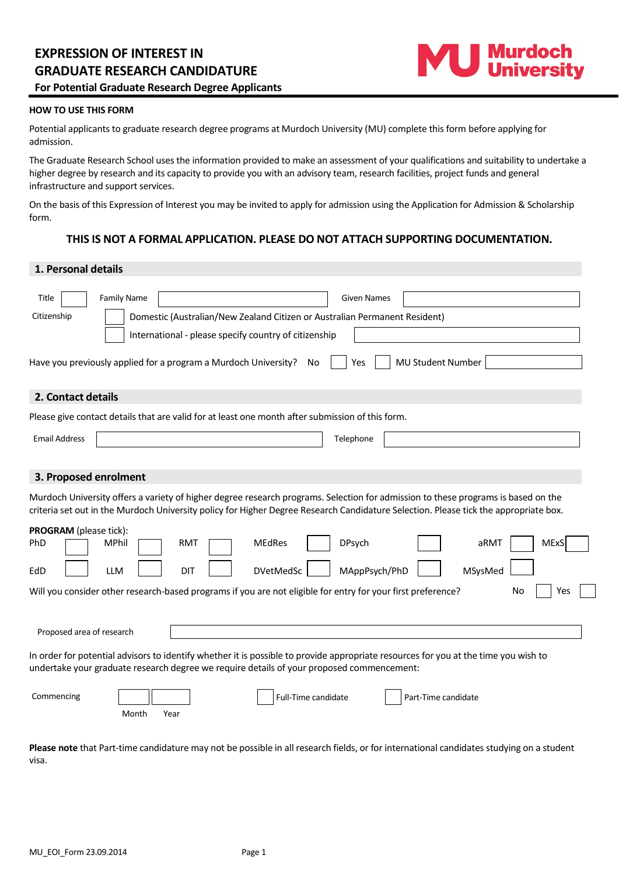

## **HOW TO USE THIS FORM**

Potential applicants to graduate research degree programs at Murdoch University (MU) complete this form before applying for admission.

The Graduate Research School uses the information provided to make an assessment of your qualifications and suitability to undertake a higher degree by research and its capacity to provide you with an advisory team, research facilities, project funds and general infrastructure and support services.

On the basis of this Expression of Interest you may be invited to apply for admission using the Application for Admission & Scholarship form.

# **THIS IS NOT A FORMAL APPLICATION. PLEASE DO NOT ATTACH SUPPORTING DOCUMENTATION.**

## **1. Personal details**

| <b>Family Name</b><br>Title<br><b>Given Names</b><br>Citizenship<br>Domestic (Australian/New Zealand Citizen or Australian Permanent Resident)<br>International - please specify country of citizenship<br>MU Student Number<br>Have you previously applied for a program a Murdoch University?<br>No<br>Yes                                                                                                               |
|----------------------------------------------------------------------------------------------------------------------------------------------------------------------------------------------------------------------------------------------------------------------------------------------------------------------------------------------------------------------------------------------------------------------------|
| 2. Contact details                                                                                                                                                                                                                                                                                                                                                                                                         |
| Please give contact details that are valid for at least one month after submission of this form.                                                                                                                                                                                                                                                                                                                           |
| <b>Email Address</b><br>Telephone                                                                                                                                                                                                                                                                                                                                                                                          |
| 3. Proposed enrolment<br>Murdoch University offers a variety of higher degree research programs. Selection for admission to these programs is based on the<br>criteria set out in the Murdoch University policy for Higher Degree Research Candidature Selection. Please tick the appropriate box.<br>PROGRAM (please tick):<br><b>MEdRes</b><br><b>DPsych</b><br><b>MExS</b><br>PhD<br><b>MPhil</b><br><b>RMT</b><br>aRMT |
| EdD<br><b>LLM</b><br><b>DIT</b><br><b>DVetMedSc</b><br>MAppPsych/PhD<br>MSysMed                                                                                                                                                                                                                                                                                                                                            |
| Will you consider other research-based programs if you are not eligible for entry for your first preference?<br>Yes<br>No                                                                                                                                                                                                                                                                                                  |
| Proposed area of research                                                                                                                                                                                                                                                                                                                                                                                                  |
| In order for potential advisors to identify whether it is possible to provide appropriate resources for you at the time you wish to<br>undertake your graduate research degree we require details of your proposed commencement:                                                                                                                                                                                           |
| Commencing<br>Full-Time candidate<br>Part-Time candidate<br>Month<br>Year                                                                                                                                                                                                                                                                                                                                                  |

**Please note** that Part-time candidature may not be possible in all research fields, or for international candidates studying on a student visa.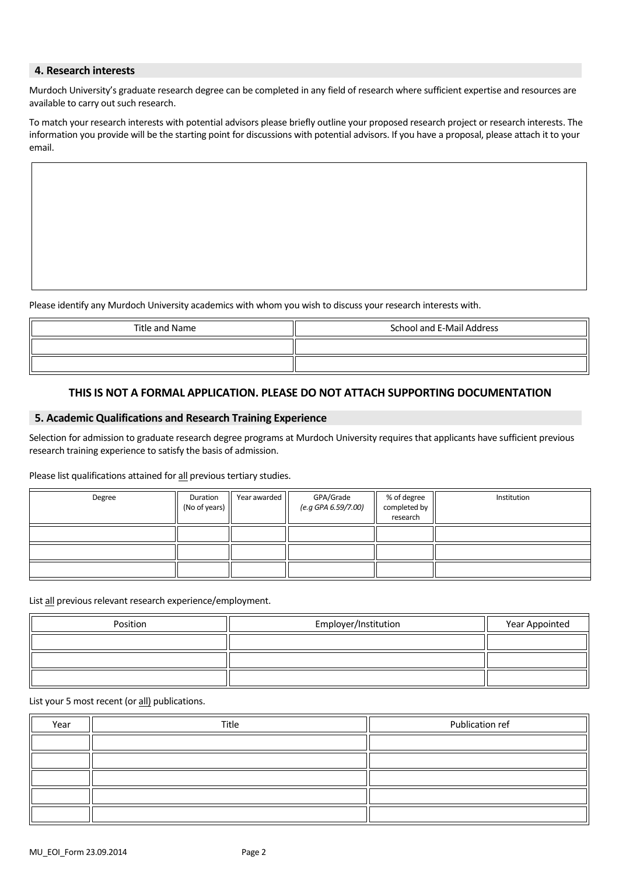## **4. Research interests**

Murdoch University's graduate research degree can be completed in any field of research where sufficient expertise and resources are available to carry out such research.

To match your research interests with potential advisors please briefly outline your proposed research project or research interests. The information you provide will be the starting point for discussions with potential advisors. If you have a proposal, please attach it to your email.

Please identify any Murdoch University academics with whom you wish to discuss your research interests with.

| Title and Name | School and E-Mail Address |
|----------------|---------------------------|
|                |                           |
|                |                           |

# **THIS IS NOT A FORMAL APPLICATION. PLEASE DO NOT ATTACH SUPPORTING DOCUMENTATION**

## **5. Academic Qualifications and Research Training Experience**

Selection for admission to graduate research degree programs at Murdoch University requires that applicants have sufficient previous research training experience to satisfy the basis of admission.

## Please list qualifications attained for all previous tertiary studies.

| Degree | Duration<br>(No of years) | Year awarded | GPA/Grade<br>(e.g GPA 6.59/7.00) | % of degree<br>completed by<br>research | Institution |
|--------|---------------------------|--------------|----------------------------------|-----------------------------------------|-------------|
|        |                           |              |                                  |                                         |             |
|        |                           |              |                                  |                                         |             |
|        |                           |              |                                  |                                         |             |

List all previous relevant research experience/employment.

| Position | Employer/Institution | Year Appointed |
|----------|----------------------|----------------|
|          |                      |                |
|          |                      |                |
|          |                      |                |

List your 5 most recent (or all) publications.

| Year | Title | Publication ref |
|------|-------|-----------------|
|      |       |                 |
|      |       |                 |
|      |       |                 |
|      |       |                 |
|      |       |                 |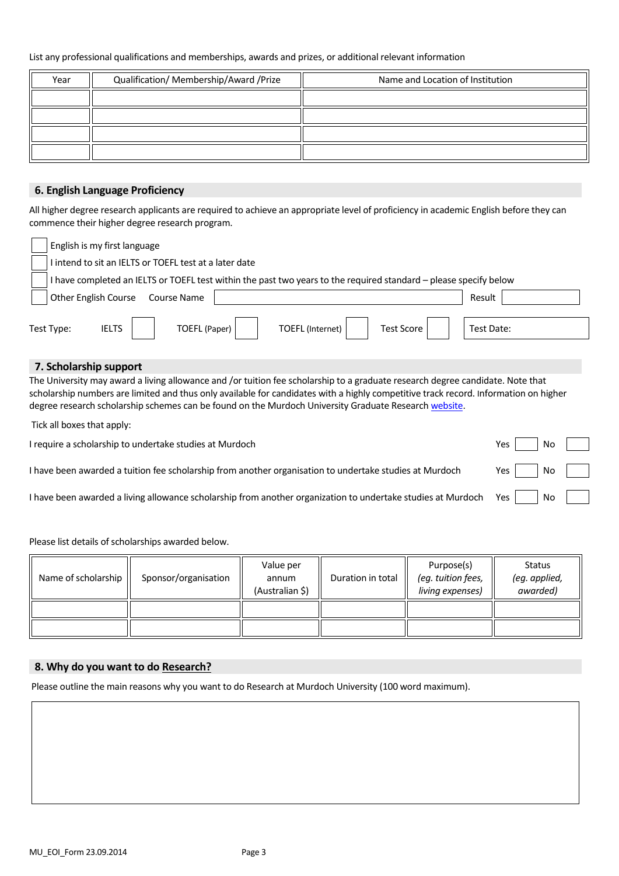#### List any professional qualifications and memberships, awards and prizes, or additional relevant information

| Year | Qualification/ Membership/Award /Prize | Name and Location of Institution |
|------|----------------------------------------|----------------------------------|
|      |                                        |                                  |
|      |                                        |                                  |
|      |                                        |                                  |
|      |                                        |                                  |

# **6. English Language Proficiency**

All higher degree research applicants are required to achieve an appropriate level of proficiency in academic English before they can commence their higher degree research program.

| English is my first language                                                                                    |            |
|-----------------------------------------------------------------------------------------------------------------|------------|
| I intend to sit an IELTS or TOEFL test at a later date                                                          |            |
| have completed an IELTS or TOEFL test within the past two years to the required standard - please specify below |            |
| Other English Course<br>Course Name                                                                             | Result     |
| Test Type:<br><b>Test Score</b><br><b>IELTS</b><br><b>TOEFL</b> (Internet)<br>TOEFL (Paper)                     | Test Date: |

# **7. Scholarship support**

The University may award a living allowance and /or tuition fee scholarship to a graduate research degree candidate. Note that scholarship numbers are limited and thus only available for candidates with [a highly competitive track record.](http://www.uq.edu.au/grad-school/scholarship-competitiveness) Information on higher degree research scholarship schemes can be found on th[e Murdoch University](http://www.uq.edu.au/grad-school/index.html?id=9258) Graduate Researc[h website.](http://our.murdoch.edu.au/Research-and-Development/Resources-for-students/Scholarships-and-finance/)

Tick all boxes that apply:

| Nc<br>I require a scholarship to undertake studies at Murdoch<br>Yes i |
|------------------------------------------------------------------------|
|------------------------------------------------------------------------|

| I have been awarded a tuition fee scholarship from another organisation to undertake studies at Murdoch<br>Yes, |  | l Nc |
|-----------------------------------------------------------------------------------------------------------------|--|------|
|-----------------------------------------------------------------------------------------------------------------|--|------|

I have been awarded a living allowance scholarship from another organization to undertake studies at Murdoch Yes  $\parallel$  No

Please list details of scholarships awarded below.

| Name of scholarship | Sponsor/organisation | Value per<br>annum<br>(Australian \$) | Duration in total | Purpose(s)<br>(eg. tuition fees,<br>living expenses) | <b>Status</b><br>(eg. applied,<br>awarded) |
|---------------------|----------------------|---------------------------------------|-------------------|------------------------------------------------------|--------------------------------------------|
|                     |                      |                                       |                   |                                                      |                                            |
|                     |                      |                                       |                   |                                                      |                                            |

## **8. Why do you want to do Research?**

Please outline the main reasons why you want to do Research at Murdoch University (100 word maximum).